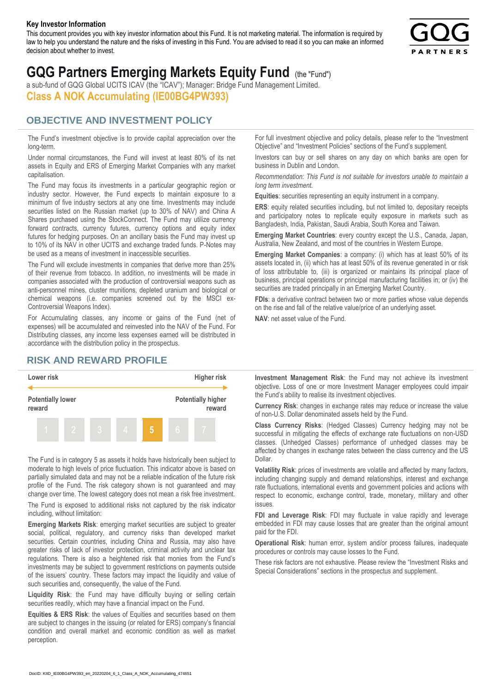#### **Key Investor Information**

This document provides you with key investor information about this Fund. It is not marketing material. The information is required by law to help you understand the nature and the risks of investing in this Fund. You are advised to read it so you can make an informed decision about whether to invest.



# **GQG Partners Emerging Markets Equity Fund** (the "Fund")

a sub-fund of GQG Global UCITS ICAV (the "ICAV"); Manager: Bridge Fund Management Limited. **Class A NOK Accumulating (IE00BG4PW393)**

#### **OBJECTIVE AND INVESTMENT POLICY**

The Fund's investment objective is to provide capital appreciation over the long-term.

Under normal circumstances, the Fund will invest at least 80% of its net assets in Equity and ERS of Emerging Market Companies with any market capitalisation.

The Fund may focus its investments in a particular geographic region or industry sector. However, the Fund expects to maintain exposure to a minimum of five industry sectors at any one time. Investments may include securities listed on the Russian market (up to 30% of NAV) and China A Shares purchased using the StockConnect. The Fund may utilize currency forward contracts, currency futures, currency options and equity index futures for hedging purposes. On an ancillary basis the Fund may invest up to 10% of its NAV in other UCITS and exchange traded funds. P-Notes may be used as a means of investment in inaccessible securities.

The Fund will exclude investments in companies that derive more than 25% of their revenue from tobacco. In addition, no investments will be made in companies associated with the production of controversial weapons such as anti-personnel mines, cluster munitions, depleted uranium and biological or chemical weapons (i.e. companies screened out by the MSCI ex-Controversial Weapons Index).

For Accumulating classes, any income or gains of the Fund (net of expenses) will be accumulated and reinvested into the NAV of the Fund. For Distributing classes, any income less expenses earned will be distributed in accordance with the distribution policy in the prospectus.

### **RISK AND REWARD PROFILE**



The Fund is in category 5 as assets it holds have historically been subject to moderate to high levels of price fluctuation. This indicator above is based on partially simulated data and may not be a reliable indication of the future risk profile of the Fund. The risk category shown is not guaranteed and may change over time. The lowest category does not mean a risk free investment.

The Fund is exposed to additional risks not captured by the risk indicator including, without limitation:

**Emerging Markets Risk**: emerging market securities are subject to greater social, political, regulatory, and currency risks than developed market securities. Certain countries, including China and Russia, may also have greater risks of lack of investor protection, criminal activity and unclear tax regulations. There is also a heightened risk that monies from the Fund's investments may be subject to government restrictions on payments outside of the issuers' country. These factors may impact the liquidity and value of such securities and, consequently, the value of the Fund.

**Liquidity Risk**: the Fund may have difficulty buying or selling certain securities readily, which may have a financial impact on the Fund.

**Equities & ERS Risk**: the values of Equities and securities based on them are subject to changes in the issuing (or related for ERS) company's financial condition and overall market and economic condition as well as market perception.

For full investment objective and policy details, please refer to the "Investment Objective" and "Investment Policies" sections of the Fund's supplement.

Investors can buy or sell shares on any day on which banks are open for business in Dublin and London.

*Recommendation: This Fund is not suitable for investors unable to maintain a long term investment.*

**Equities**: securities representing an equity instrument in a company.

**ERS:** equity related securities including, but not limited to, depositary receipts and participatory notes to replicate equity exposure in markets such as Bangladesh, India, Pakistan, Saudi Arabia, South Korea and Taiwan.

**Emerging Market Countries**: every country except the U.S., Canada, Japan, Australia, New Zealand, and most of the countries in Western Europe.

**Emerging Market Companies**: a company: (i) which has at least 50% of its assets located in, (ii) which has at least 50% of its revenue generated in or risk of loss attributable to, (iii) is organized or maintains its principal place of business, principal operations or principal manufacturing facilities in; or (iv) the securities are traded principally in an Emerging Market Country.

**FDIs**: a derivative contract between two or more parties whose value depends on the rise and fall of the relative value/price of an underlying asset.

**NAV**: net asset value of the Fund.

**Investment Management Risk**: the Fund may not achieve its investment objective. Loss of one or more Investment Manager employees could impair the Fund's ability to realise its investment objectives.

**Currency Risk**: changes in exchange rates may reduce or increase the value of non-U.S. Dollar denominated assets held by the Fund.

**Class Currency Risks**: (Hedged Classes) Currency hedging may not be successful in mitigating the effects of exchange rate fluctuations on non-USD classes. (Unhedged Classes) performance of unhedged classes may be affected by changes in exchange rates between the class currency and the US Dollar.

**Volatility Risk**: prices of investments are volatile and affected by many factors, including changing supply and demand relationships, interest and exchange rate fluctuations, international events and government policies and actions with respect to economic, exchange control, trade, monetary, military and other issues.

**FDI and Leverage Risk**: FDI may fluctuate in value rapidly and leverage embedded in FDI may cause losses that are greater than the original amount paid for the FDI.

**Operational Risk**: human error, system and/or process failures, inadequate procedures or controls may cause losses to the Fund.

These risk factors are not exhaustive. Please review the "Investment Risks and Special Considerations" sections in the prospectus and supplement.